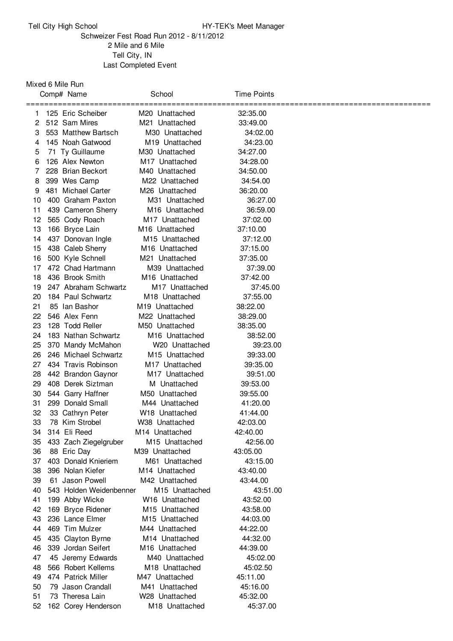## Tell City High School **HY-TEK's Meet Manager**

## Schweizer Fest Road Run 2012 - 8/11/2012 Mile and 6 Mile Tell City, IN Last Completed Event

## Mixed 6 Mile Run

|    | Comp# Name              | School                     | <b>Time Points</b> |  |
|----|-------------------------|----------------------------|--------------------|--|
| 1. | 125 Eric Scheiber       | M <sub>20</sub> Unattached | 32:35.00           |  |
| 2  | 512 Sam Mires           | M21 Unattached             | 33:49.00           |  |
| 3  | 553 Matthew Bartsch     | M30 Unattached             | 34:02.00           |  |
| 4  | 145 Noah Gatwood        | M19 Unattached             | 34:23.00           |  |
| 5  | 71 Ty Guillaume         | M30 Unattached             | 34:27.00           |  |
| 6  | 126 Alex Newton         | M <sub>17</sub> Unattached | 34:28.00           |  |
| 7  | 228 Brian Beckort       | M40 Unattached             | 34:50.00           |  |
| 8  | 399 Wes Camp            | M22 Unattached             | 34:54.00           |  |
| 9  | 481 Michael Carter      | M <sub>26</sub> Unattached | 36:20.00           |  |
| 10 | 400 Graham Paxton       | M31 Unattached             | 36:27.00           |  |
| 11 | 439 Cameron Sherry      | M16 Unattached             | 36:59.00           |  |
| 12 | 565 Cody Roach          | M <sub>17</sub> Unattached | 37:02.00           |  |
| 13 | 166 Bryce Lain          | M <sub>16</sub> Unattached | 37:10.00           |  |
| 14 | 437 Donovan Ingle       | M <sub>15</sub> Unattached | 37:12.00           |  |
| 15 | 438 Caleb Sherry        | M <sub>16</sub> Unattached | 37:15.00           |  |
| 16 | 500 Kyle Schnell        | M21 Unattached             | 37:35.00           |  |
| 17 | 472 Chad Hartmann       | M39 Unattached             | 37:39.00           |  |
| 18 | 436 Brook Smith         | M <sub>16</sub> Unattached | 37:42.00           |  |
| 19 | 247 Abraham Schwartz    | M <sub>17</sub> Unattached | 37:45.00           |  |
| 20 | 184 Paul Schwartz       | M <sub>18</sub> Unattached | 37:55.00           |  |
| 21 | 85 Ian Bashor           | M <sub>19</sub> Unattached | 38:22.00           |  |
| 22 | 546 Alex Fenn           | M22 Unattached             | 38:29.00           |  |
| 23 | 128 Todd Reller         | M50 Unattached             | 38:35.00           |  |
| 24 | 183 Nathan Schwartz     | M <sub>16</sub> Unattached | 38:52.00           |  |
| 25 | 370 Mandy McMahon       | W20 Unattached             | 39:23.00           |  |
| 26 | 246 Michael Schwartz    | M <sub>15</sub> Unattached | 39:33.00           |  |
| 27 | 434 Travis Robinson     | M <sub>17</sub> Unattached | 39:35.00           |  |
| 28 | 442 Brandon Gaynor      | M17 Unattached             | 39:51.00           |  |
| 29 | 408 Derek Siztman       | M Unattached               | 39:53.00           |  |
| 30 | 544 Garry Haffner       | M50 Unattached             | 39:55.00           |  |
| 31 | 299 Donald Small        | M44 Unattached             | 41:20.00           |  |
| 32 | 33 Cathryn Peter        | W18 Unattached             | 41:44.00           |  |
| 33 | 78 Kim Strobel          | W38 Unattached             | 42:03.00           |  |
| 34 | 314 Eli Reed            | M14 Unattached             | 42:40.00           |  |
| 35 | 433 Zach Ziegelgruber   | M <sub>15</sub> Unattached | 42:56.00           |  |
| 36 | 88 Eric Day             | M39 Unattached             | 43:05.00           |  |
| 37 | 403 Donald Knieriem     | M61 Unattached             | 43:15.00           |  |
| 38 | 396 Nolan Kiefer        | M14 Unattached             | 43:40.00           |  |
| 39 | 61 Jason Powell         | M42 Unattached             | 43:44.00           |  |
| 40 | 543 Holden Weidenbenner | M <sub>15</sub> Unattached | 43:51.00           |  |
| 41 | 199 Abby Wicke          | W16 Unattached             | 43:52.00           |  |
| 42 | 169 Bryce Ridener       | M <sub>15</sub> Unattached | 43:58.00           |  |
| 43 | 236 Lance Elmer         | M <sub>15</sub> Unattached | 44:03.00           |  |
| 44 | 469 Tim Mulzer          | M44 Unattached             | 44:22.00           |  |
| 45 | 435 Clayton Byrne       | M <sub>14</sub> Unattached | 44:32.00           |  |
| 46 | 339 Jordan Seifert      | M <sub>16</sub> Unattached | 44:39.00           |  |
| 47 | 45 Jeremy Edwards       | M40 Unattached             | 45:02.00           |  |
| 48 | 566 Robert Kellems      | M <sub>18</sub> Unattached | 45:02.50           |  |
| 49 | 474 Patrick Miller      | M47 Unattached             | 45:11.00           |  |
| 50 | 79 Jason Crandall       | M41 Unattached             | 45:16.00           |  |
| 51 | 73 Theresa Lain         | W28 Unattached             | 45:32.00           |  |
| 52 | 162 Corey Henderson     | M18 Unattached             | 45:37.00           |  |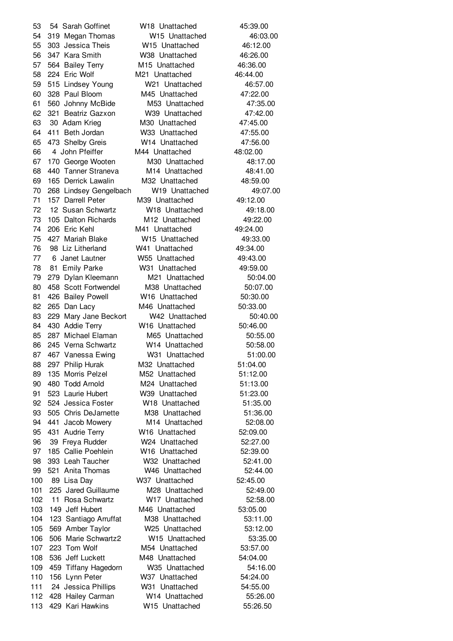54 Sarah Goffinet W18 Unattached 45:39.00 319 Megan Thomas W15 Unattached 46:03.00 303 Jessica Theis W15 Unattached 46:12.00 347 Kara Smith W38 Unattached 46:26.00 564 Bailey Terry M15 Unattached 46:36.00 224 Eric Wolf M21 Unattached 46:44.00 515 Lindsey Young W21 Unattached 46:57.00 328 Paul Bloom M45 Unattached 47:22.00 560 Johnny McBide M53 Unattached 47:35.00 321 Beatriz Gazxon W39 Unattached 47:42.00 30 Adam Krieg M30 Unattached 47:45.00 411 Beth Jordan W33 Unattached 47:55.00 473 Shelby Greis W14 Unattached 47:56.00 4 John Pfeiffer M44 Unattached 48:02.00 170 George Wooten M30 Unattached 48:17.00 440 Tanner Straneva M14 Unattached 48:41.00 165 Derrick Lawalin M32 Unattached 48:59.00 268 Lindsey Gengelbach W19 Unattached 49:07.00 157 Darrell Peter M39 Unattached 49:12.00 12 Susan Schwartz W18 Unattached 49:18.00 105 Dalton Richards M12 Unattached 49:22.00 206 Eric Kehl M41 Unattached 49:24.00 427 Mariah Blake W15 Unattached 49:33.00 98 Liz Litherland W41 Unattached 49:34.00 6 Janet Lautner W55 Unattached 49:43.00 81 Emily Parke W31 Unattached 49:59.00 279 Dylan Kleemann M21 Unattached 50:04.00 458 Scott Fortwendel M38 Unattached 50:07.00 426 Bailey Powell W16 Unattached 50:30.00 265 Dan Lacy M46 Unattached 50:33.00 83 229 Mary Jane Beckort W42 Unattached 50:40.00 430 Addie Terry W16 Unattached 50:46.00 85 287 Michael Elaman M65 Unattached 50:55.00 245 Verna Schwartz W14 Unattached 50:58.00 467 Vanessa Ewing W31 Unattached 51:00.00 297 Philip Hurak M32 Unattached 51:04.00 135 Morris Pelzel M52 Unattached 51:12.00 480 Todd Arnold M24 Unattached 51:13.00 523 Laurie Hubert W39 Unattached 51:23.00 524 Jessica Foster W18 Unattached 51:35.00 505 Chris DeJarnette M38 Unattached 51:36.00 441 Jacob Mowery M14 Unattached 52:08.00 431 Audrie Terry W16 Unattached 52:09.00 39 Freya Rudder W24 Unattached 52:27.00 185 Callie Poehlein W16 Unattached 52:39.00 393 Leah Taucher W32 Unattached 52:41.00 521 Anita Thomas W46 Unattached 52:44.00 89 Lisa Day W37 Unattached 52:45.00 225 Jared Guillaume M28 Unattached 52:49.00 11 Rosa Schwartz W17 Unattached 52:58.00 149 Jeff Hubert M46 Unattached 53:05.00 123 Santiago Arruffat M38 Unattached 53:11.00 569 Amber Taylor W25 Unattached 53:12.00 506 Marie Schwartz2 W15 Unattached 53:35.00 223 Tom Wolf M54 Unattached 53:57.00 536 Jeff Luckett M48 Unattached 54:04.00 459 Tiffany Hagedorn W35 Unattached 54:16.00 156 Lynn Peter W37 Unattached 54:24.00 24 Jessica Phillips W31 Unattached 54:55.00 428 Hailey Carman W14 Unattached 55:26.00 429 Kari Hawkins W15 Unattached 55:26.50